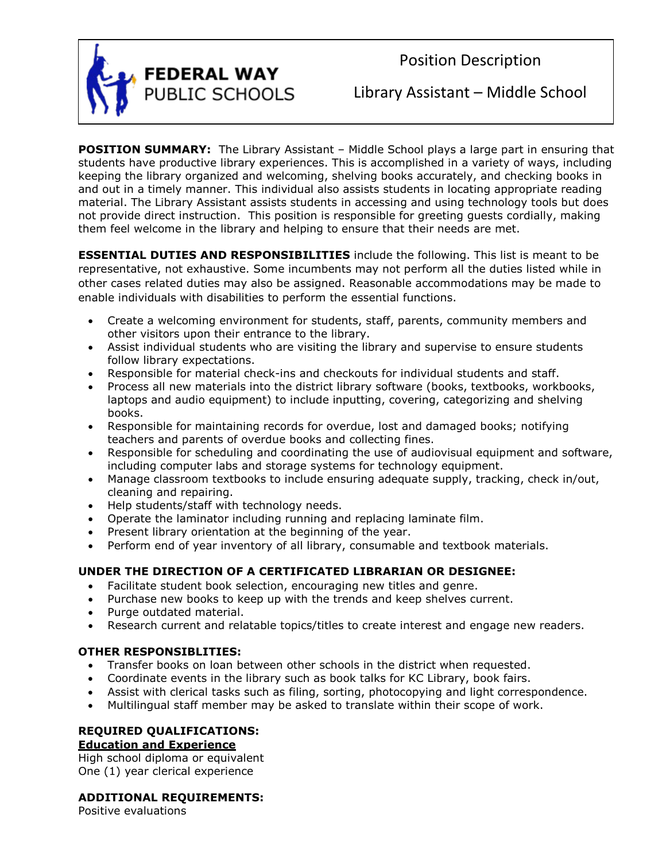

Position Description

Library Assistant – Middle School

**POSITION SUMMARY:** The Library Assistant - Middle School plays a large part in ensuring that students have productive library experiences. This is accomplished in a variety of ways, including keeping the library organized and welcoming, shelving books accurately, and checking books in and out in a timely manner. This individual also assists students in locating appropriate reading material. The Library Assistant assists students in accessing and using technology tools but does not provide direct instruction. This position is responsible for greeting guests cordially, making them feel welcome in the library and helping to ensure that their needs are met.

**ESSENTIAL DUTIES AND RESPONSIBILITIES** include the following. This list is meant to be representative, not exhaustive. Some incumbents may not perform all the duties listed while in other cases related duties may also be assigned. Reasonable accommodations may be made to enable individuals with disabilities to perform the essential functions.

- Create a welcoming environment for students, staff, parents, community members and other visitors upon their entrance to the library.
- Assist individual students who are visiting the library and supervise to ensure students follow library expectations.
- Responsible for material check-ins and checkouts for individual students and staff.
- Process all new materials into the district library software (books, textbooks, workbooks, laptops and audio equipment) to include inputting, covering, categorizing and shelving books.
- Responsible for maintaining records for overdue, lost and damaged books; notifying teachers and parents of overdue books and collecting fines.
- Responsible for scheduling and coordinating the use of audiovisual equipment and software, including computer labs and storage systems for technology equipment.
- Manage classroom textbooks to include ensuring adequate supply, tracking, check in/out, cleaning and repairing.
- Help students/staff with technology needs.
- Operate the laminator including running and replacing laminate film.
- Present library orientation at the beginning of the year.
- Perform end of year inventory of all library, consumable and textbook materials.

# **UNDER THE DIRECTION OF A CERTIFICATED LIBRARIAN OR DESIGNEE:**

- Facilitate student book selection, encouraging new titles and genre.
- Purchase new books to keep up with the trends and keep shelves current.
- Purge outdated material.
- Research current and relatable topics/titles to create interest and engage new readers.

## **OTHER RESPONSIBLITIES:**

- Transfer books on loan between other schools in the district when requested.
- Coordinate events in the library such as book talks for KC Library, book fairs.
- Assist with clerical tasks such as filing, sorting, photocopying and light correspondence.
- Multilingual staff member may be asked to translate within their scope of work.

## **REQUIRED QUALIFICATIONS: Education and Experience**

High school diploma or equivalent One (1) year clerical experience

# **ADDITIONAL REQUIREMENTS:**

Positive evaluations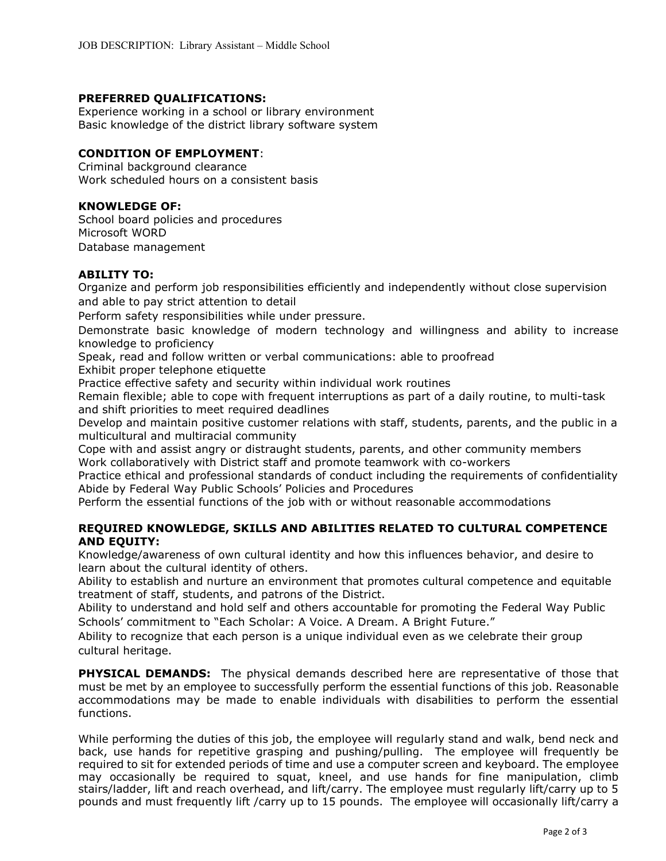### **PREFERRED QUALIFICATIONS:**

Experience working in a school or library environment Basic knowledge of the district library software system

#### **CONDITION OF EMPLOYMENT**:

Criminal background clearance Work scheduled hours on a consistent basis

### **KNOWLEDGE OF:**

School board policies and procedures Microsoft WORD Database management

### **ABILITY TO:**

Organize and perform job responsibilities efficiently and independently without close supervision and able to pay strict attention to detail

Perform safety responsibilities while under pressure.

Demonstrate basic knowledge of modern technology and willingness and ability to increase knowledge to proficiency

Speak, read and follow written or verbal communications: able to proofread

Exhibit proper telephone etiquette

Practice effective safety and security within individual work routines

Remain flexible; able to cope with frequent interruptions as part of a daily routine, to multi-task and shift priorities to meet required deadlines

Develop and maintain positive customer relations with staff, students, parents, and the public in a multicultural and multiracial community

Cope with and assist angry or distraught students, parents, and other community members Work collaboratively with District staff and promote teamwork with co-workers

Practice ethical and professional standards of conduct including the requirements of confidentiality Abide by Federal Way Public Schools' Policies and Procedures

Perform the essential functions of the job with or without reasonable accommodations

### **REQUIRED KNOWLEDGE, SKILLS AND ABILITIES RELATED TO CULTURAL COMPETENCE AND EQUITY:**

Knowledge/awareness of own cultural identity and how this influences behavior, and desire to learn about the cultural identity of others.

Ability to establish and nurture an environment that promotes cultural competence and equitable treatment of staff, students, and patrons of the District.

Ability to understand and hold self and others accountable for promoting the Federal Way Public Schools' commitment to "Each Scholar: A Voice. A Dream. A Bright Future."

Ability to recognize that each person is a unique individual even as we celebrate their group cultural heritage.

**PHYSICAL DEMANDS:** The physical demands described here are representative of those that must be met by an employee to successfully perform the essential functions of this job. Reasonable accommodations may be made to enable individuals with disabilities to perform the essential functions.

While performing the duties of this job, the employee will regularly stand and walk, bend neck and back, use hands for repetitive grasping and pushing/pulling. The employee will frequently be required to sit for extended periods of time and use a computer screen and keyboard. The employee may occasionally be required to squat, kneel, and use hands for fine manipulation, climb stairs/ladder, lift and reach overhead, and lift/carry. The employee must regularly lift/carry up to 5 pounds and must frequently lift /carry up to 15 pounds. The employee will occasionally lift/carry a